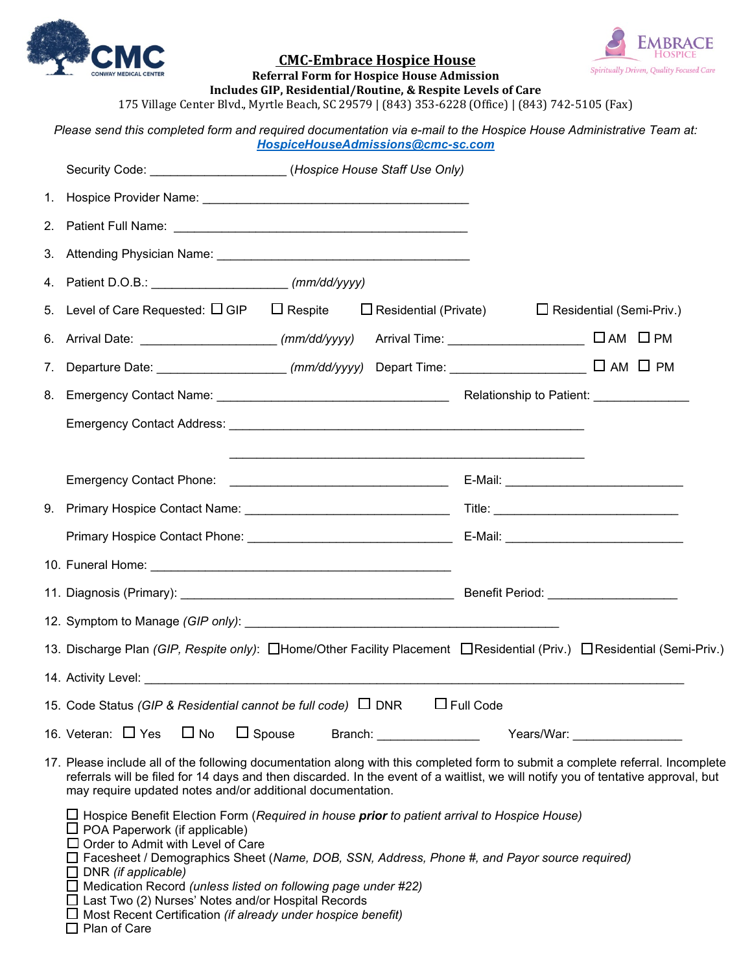



## **CMC-Embrace Hospice House**

**Referral Form for Hospice House Admission** 

**Includes GIP, Residential/Routine, & Respite Levels of Care** 175 Village Center Blvd., Myrtle Beach, SC 29579 | (843) 353-6228 (Office) | (843) 742-5105 (Fax)

| Please send this completed form and required documentation via e-mail to the Hospice House Administrative Team at:<br>HospiceHouseAdmissions@cmc-sc.com                                                                                                                                                                                                                          |                                             |                                                                                                                                                                                                                                |  |
|----------------------------------------------------------------------------------------------------------------------------------------------------------------------------------------------------------------------------------------------------------------------------------------------------------------------------------------------------------------------------------|---------------------------------------------|--------------------------------------------------------------------------------------------------------------------------------------------------------------------------------------------------------------------------------|--|
| Security Code: ____________________(Hospice House Staff Use Only)                                                                                                                                                                                                                                                                                                                |                                             |                                                                                                                                                                                                                                |  |
|                                                                                                                                                                                                                                                                                                                                                                                  |                                             |                                                                                                                                                                                                                                |  |
|                                                                                                                                                                                                                                                                                                                                                                                  |                                             |                                                                                                                                                                                                                                |  |
|                                                                                                                                                                                                                                                                                                                                                                                  |                                             |                                                                                                                                                                                                                                |  |
| 4. Patient D.O.B.: (mm/dd/yyyy)                                                                                                                                                                                                                                                                                                                                                  |                                             |                                                                                                                                                                                                                                |  |
| 5. Level of Care Requested: $\square$ GIP $\square$ Respite $\square$ Residential (Private)                                                                                                                                                                                                                                                                                      |                                             | $\Box$ Residential (Semi-Priv.)                                                                                                                                                                                                |  |
| 6. Arrival Date: ____________________ <i>(mm/dd/yyyy)</i> Arrival Time: _____________________ □ AM   □ PM                                                                                                                                                                                                                                                                        |                                             |                                                                                                                                                                                                                                |  |
|                                                                                                                                                                                                                                                                                                                                                                                  |                                             |                                                                                                                                                                                                                                |  |
|                                                                                                                                                                                                                                                                                                                                                                                  |                                             |                                                                                                                                                                                                                                |  |
|                                                                                                                                                                                                                                                                                                                                                                                  |                                             |                                                                                                                                                                                                                                |  |
|                                                                                                                                                                                                                                                                                                                                                                                  |                                             |                                                                                                                                                                                                                                |  |
|                                                                                                                                                                                                                                                                                                                                                                                  | E-Mail: ___________________________________ |                                                                                                                                                                                                                                |  |
|                                                                                                                                                                                                                                                                                                                                                                                  |                                             |                                                                                                                                                                                                                                |  |
|                                                                                                                                                                                                                                                                                                                                                                                  |                                             |                                                                                                                                                                                                                                |  |
|                                                                                                                                                                                                                                                                                                                                                                                  |                                             |                                                                                                                                                                                                                                |  |
|                                                                                                                                                                                                                                                                                                                                                                                  |                                             |                                                                                                                                                                                                                                |  |
| 12. Symptom to Manage (GIP only): example and a set of the symptom of the symptom of the symptom of the symptom of the symptom of the symptom of the symptom of the symptom of the symptom of the symptom of the symptom of th                                                                                                                                                   |                                             |                                                                                                                                                                                                                                |  |
| 13. Discharge Plan (GIP, Respite only): CHome/Other Facility Placement CResidential (Priv.) CResidential (Semi-Priv.)                                                                                                                                                                                                                                                            |                                             |                                                                                                                                                                                                                                |  |
| 14. Activity Level:                                                                                                                                                                                                                                                                                                                                                              |                                             |                                                                                                                                                                                                                                |  |
| 15. Code Status (GIP & Residential cannot be full code) $\Box$ DNR                                                                                                                                                                                                                                                                                                               | $\Box$ Full Code                            |                                                                                                                                                                                                                                |  |
| $\Box$ No<br>16. Veteran: □ Yes<br>$\Box$ Spouse<br>Branch: National Contract of the Second Second Second Second Second Second Second Second Second Second Second                                                                                                                                                                                                                |                                             | Years/War: The Control of the Control of the Control of the Control of the Control of the Control of the Control of the Control of the Control of the Control of the Control of the Control of the Control of the Control of t |  |
| 17. Please include all of the following documentation along with this completed form to submit a complete referral. Incomplete<br>referrals will be filed for 14 days and then discarded. In the event of a waitlist, we will notify you of tentative approval, but<br>may require updated notes and/or additional documentation.                                                |                                             |                                                                                                                                                                                                                                |  |
| $\Box$ Hospice Benefit Election Form ( <i>Required in house <b>prior</b> to patient arrival to Hospice House</i> )<br>POA Paperwork (if applicable)<br>Order to Admit with Level of Care<br>Facesheet / Demographics Sheet (Name, DOB, SSN, Address, Phone #, and Payor source required)<br>DNR (if applicable)<br>Medication Record (unless listed on following page under #22) |                                             |                                                                                                                                                                                                                                |  |

- Last Two (2) Nurses' Notes and/or Hospital Records
- Most Recent Certification *(if already under hospice benefit)*
- □ Plan of Care